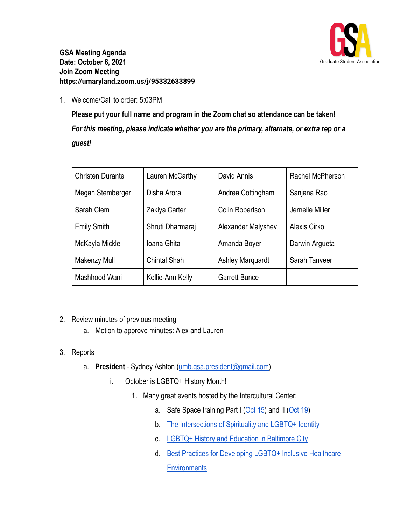

**GSA Meeting Agenda Date: October 6, 2021 Join Zoom Meeting https://umaryland.zoom.us/j/95332633899**

1. Welcome/Call to order: 5:03PM

**Please put your full name and program in the Zoom chat so attendance can be taken!** *For this meeting, please indicate whether you are the primary, alternate, or extra rep or a guest!*

| <b>Christen Durante</b> | Lauren McCarthy     | David Annis             | Rachel McPherson |
|-------------------------|---------------------|-------------------------|------------------|
| Megan Stemberger        | Disha Arora         | Andrea Cottingham       | Sanjana Rao      |
| Sarah Clem              | Zakiya Carter       | Colin Robertson         | Jernelle Miller  |
| <b>Emily Smith</b>      | Shruti Dharmaraj    | Alexander Malyshev      | Alexis Cirko     |
| McKayla Mickle          | Ioana Ghita         | Amanda Boyer            | Darwin Argueta   |
| Makenzy Mull            | <b>Chintal Shah</b> | <b>Ashley Marquardt</b> | Sarah Tanveer    |
| Mashhood Wani           | Kellie-Ann Kelly    | <b>Garrett Bunce</b>    |                  |

- 2. Review minutes of previous meeting
	- a. Motion to approve minutes: Alex and Lauren
- 3. Reports
	- a. **President** Sydney Ashton ([umb.gsa.president@gmail.com\)](mailto:umb.gsa.president@gmail.com)
		- i. October is LGBTQ+ History Month!
			- 1. Many great events hosted by the Intercultural Center:
				- a. Safe Space training Part I [\(Oct 15](https://umaryland.zoom.us/meeting/register/tJMrf-mhqjwrGtdAGO2TuvxipSPsZn8qImDJ)) and II ([Oct 19\)](https://umaryland.zoom.us/meeting/register/tJMvfu-qrT4rGdyljDmFPQazQD7WhE6pmEZ6)
				- b. [The Intersections of Spirituality and LGBTQ+ Identity](https://umaryland.zoom.us/meeting/register/tJwtdeqoqTIsGt2gcsYyTsLdTN9idFdWhWue)
				- c. [LGBTQ+ History and Education in Baltimore City](https://umaryland.zoom.us/meeting/register/tJIudOCtpj8oEtLhzp7Vw0SZzQrqjAvtDt5f)
				- d. [Best Practices for Developing LGBTQ+ Inclusive Healthcare](https://umaryland.zoom.us/meeting/register/tJwrcOGsrT8oGNDV-LY3PVmZDOJyCun3ClW-) **[Environments](https://umaryland.zoom.us/meeting/register/tJwrcOGsrT8oGNDV-LY3PVmZDOJyCun3ClW-)**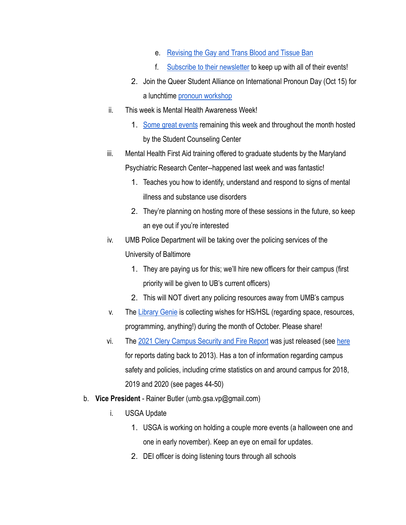- e. [Revising the Gay and Trans Blood and Tissue Ban](https://umaryland.zoom.us/meeting/register/tJUvcu2vrjIqH9eXr89mLU_DneItFDCjcEOm)
- f. [Subscribe to their newsletter](https://clbs.wufoo.com/forms/zyosctx19lstka/) to keep up with all of their events!
- 2. Join the Queer Student Alliance on International Pronoun Day (Oct 15) for a lunchtime [pronoun workshop](https://umaryland.zoom.us/meeting/register/tJ0lfuqqrj8iHNIyrzvw8K8YMwEqViXxBV3p)
- ii. This week is Mental Health Awareness Week!
	- 1. [Some great events](https://www.umaryland.edu/counseling/upcoming-events/) remaining this week and throughout the month hosted by the Student Counseling Center
- iii. Mental Health First Aid training offered to graduate students by the Maryland Psychiatric Research Center--happened last week and was fantastic!
	- 1. Teaches you how to identify, understand and respond to signs of mental illness and substance use disorders
	- 2. They're planning on hosting more of these sessions in the future, so keep an eye out if you're interested
- iv. UMB Police Department will be taking over the policing services of the University of Baltimore
	- 1. They are paying us for this; we'll hire new officers for their campus (first priority will be given to UB's current officers)
	- 2. This will NOT divert any policing resources away from UMB's campus
- v. The [Library Genie](https://www2.hshsl.umaryland.edu/wishes/) is collecting wishes for HS/HSL (regarding space, resources, programming, anything!) during the month of October. Please share!
- vi. The [2021 Clery Campus Security and Fire Report](https://www.umaryland.edu/media/umb/public-safety/UMB-Clery_Report-2021.pdf) was just released (see [here](https://www.umaryland.edu/oac/policies-and-reports/clery-report/) for reports dating back to 2013). Has a ton of information regarding campus safety and policies, including crime statistics on and around campus for 2018, 2019 and 2020 (see pages 44-50)
- b. **Vice President** Rainer Butler (umb.gsa.vp@gmail.com)
	- i. USGA Update
		- 1. USGA is working on holding a couple more events (a halloween one and one in early november). Keep an eye on email for updates.
		- 2. DEI officer is doing listening tours through all schools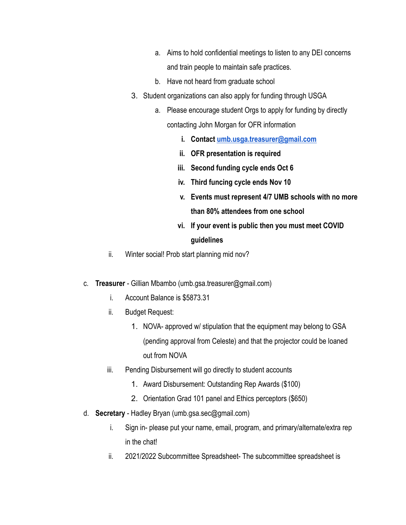- a. Aims to hold confidential meetings to listen to any DEI concerns and train people to maintain safe practices.
- b. Have not heard from graduate school
- 3. Student organizations can also apply for funding through USGA
	- a. Please encourage student Orgs to apply for funding by directly contacting John Morgan for OFR information
		- **i. Contact [umb.usga.treasurer@gmail.com](mailto:umb.usga.treasurer@gmail.com)**
		- **ii. OFR presentation is required**
		- **iii. Second funding cycle ends Oct 6**
		- **iv. Third funcing cycle ends Nov 10**
		- **v. Events must represent 4/7 UMB schools with no more than 80% attendees from one school**
		- **vi. If your event is public then you must meet COVID guidelines**
- ii. Winter social! Prob start planning mid nov?
- c. **Treasurer** Gillian Mbambo (umb.gsa.treasurer@gmail.com)
	- i. Account Balance is \$5873.31
	- ii. Budget Request:
		- 1. NOVA- approved w/ stipulation that the equipment may belong to GSA (pending approval from Celeste) and that the projector could be loaned out from NOVA
	- iii. Pending Disbursement will go directly to student accounts
		- 1. Award Disbursement: Outstanding Rep Awards (\$100)
		- 2. Orientation Grad 101 panel and Ethics perceptors (\$650)
- d. **Secretary** Hadley Bryan (umb.gsa.sec@gmail.com)
	- i. Sign in- please put your name, email, program, and primary/alternate/extra rep in the chat!
	- ii. 2021/2022 Subcommittee Spreadsheet- The subcommittee spreadsheet is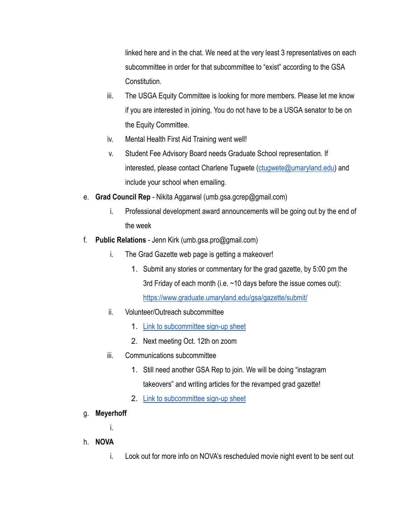linked here and in the chat. We need at the very least 3 representatives on each subcommittee in order for that subcommittee to "exist" according to the GSA Constitution.

- iii. The USGA Equity Committee is looking for more members. Please let me know if you are interested in joining. You do not have to be a USGA senator to be on the Equity Committee.
- iv. Mental Health First Aid Training went well!
- v. Student Fee Advisory Board needs Graduate School representation. If interested, please contact Charlene Tugwete ([ctugwete@umaryland.edu\)](mailto:ctugwete@umaryland.edu) and include your school when emailing.
- e. **Grad Council Rep** Nikita Aggarwal (umb.gsa.gcrep@gmail.com)
	- i. Professional development award announcements will be going out by the end of the week
- f. **Public Relations** Jenn Kirk (umb.gsa.pro@gmail.com)
	- i. The Grad Gazette web page is getting a makeover!
		- 1. Submit any stories or commentary for the grad gazette, by 5:00 pm the 3rd Friday of each month (i.e.  $\sim$  10 days before the issue comes out):

<https://www.graduate.umaryland.edu/gsa/gazette/submit/>

- ii. Volunteer/Outreach subcommittee
	- 1. [Link to subcommittee sign-up sheet](https://docs.google.com/spreadsheets/d/1i0KLCGADcoN_xXXSZKCarf5cBUtkC6gA4Yb3Slvn7-0/edit#gid=1132758769)
	- 2. Next meeting Oct. 12th on zoom
- iii. Communications subcommittee
	- 1. Still need another GSA Rep to join. We will be doing "instagram takeovers" and writing articles for the revamped grad gazette!
	- 2. [Link to subcommittee sign-up sheet](https://docs.google.com/spreadsheets/d/1i0KLCGADcoN_xXXSZKCarf5cBUtkC6gA4Yb3Slvn7-0/edit#gid=2013564926)
- g. **Meyerhoff**
	- i.
- h. **NOVA**
	- i. Look out for more info on NOVA's rescheduled movie night event to be sent out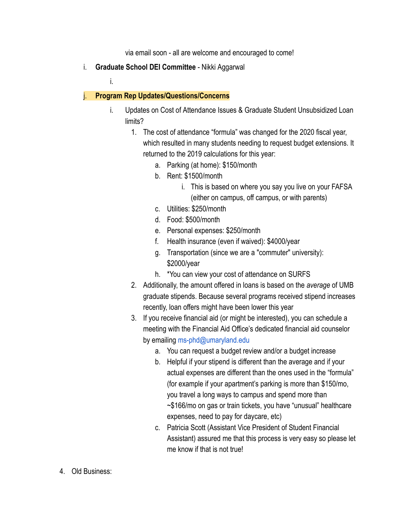via email soon - all are welcome and encouraged to come!

i. **Graduate School DEI Committee** - Nikki Aggarwal

i.

## j. **Program Rep Updates/Questions/Concerns**

- i. Updates on Cost of Attendance Issues & Graduate Student Unsubsidized Loan limits?
	- 1. The cost of attendance "formula" was changed for the 2020 fiscal year, which resulted in many students needing to request budget extensions. It returned to the 2019 calculations for this year:
		- a. Parking (at home): \$150/month
		- b. Rent: \$1500/month
			- i. This is based on where you say you live on your FAFSA (either on campus, off campus, or with parents)
		- c. Utilities: \$250/month
		- d. Food: \$500/month
		- e. Personal expenses: \$250/month
		- f. Health insurance (even if waived): \$4000/year
		- g. Transportation (since we are a "commuter" university): \$2000/year
		- h. \*You can view your cost of attendance on SURFS
	- 2. Additionally, the amount offered in loans is based on the *average* of UMB graduate stipends. Because several programs received stipend increases recently, loan offers might have been lower this year
	- 3. If you receive financial aid (or might be interested), you can schedule a meeting with the Financial Aid Office's dedicated financial aid counselor by emailing ms-phd@umaryland.edu
		- a. You can request a budget review and/or a budget increase
		- b. Helpful if your stipend is different than the average and if your actual expenses are different than the ones used in the "formula" (for example if your apartment's parking is more than \$150/mo, you travel a long ways to campus and spend more than ~\$166/mo on gas or train tickets, you have "unusual" healthcare expenses, need to pay for daycare, etc)
		- c. Patricia Scott (Assistant Vice President of Student Financial Assistant) assured me that this process is very easy so please let me know if that is not true!
- 4. Old Business: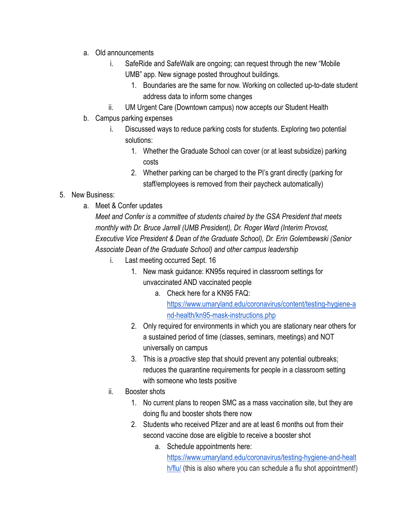- a. Old announcements
	- i. SafeRide and SafeWalk are ongoing; can request through the new "Mobile UMB" app. New signage posted throughout buildings.
		- 1. Boundaries are the same for now. Working on collected up-to-date student address data to inform some changes
	- ii. UM Urgent Care (Downtown campus) now accepts our Student Health
- b. Campus parking expenses
	- i. Discussed ways to reduce parking costs for students. Exploring two potential solutions:
		- 1. Whether the Graduate School can cover (or at least subsidize) parking costs
		- 2. Whether parking can be charged to the PI's grant directly (parking for staff/employees is removed from their paycheck automatically)
- 5. New Business:
	- a. Meet & Confer updates

*Meet and Confer is a committee of students chaired by the GSA President that meets monthly with Dr. Bruce Jarrell (UMB President), Dr. Roger Ward (Interim Provost, Executive Vice President & Dean of the Graduate School), Dr. Erin Golembewski (Senior Associate Dean of the Graduate School) and other campus leadership*

- i. Last meeting occurred Sept. 16
	- 1. New mask guidance: KN95s required in classroom settings for unvaccinated AND vaccinated people
		- a. Check here for a KN95 FAQ: [https://www.umaryland.edu/coronavirus/content/testing-hygiene-a](https://www.umaryland.edu/coronavirus/content/testing-hygiene-and-health/kn95-mask-instructions.php) [nd-health/kn95-mask-instructions.php](https://www.umaryland.edu/coronavirus/content/testing-hygiene-and-health/kn95-mask-instructions.php)
	- 2. Only required for environments in which you are stationary near others for a sustained period of time (classes, seminars, meetings) and NOT universally on campus
	- 3. This is a *proactive* step that should prevent any potential outbreaks; reduces the quarantine requirements for people in a classroom setting with someone who tests positive
- ii. Booster shots
	- 1. No current plans to reopen SMC as a mass vaccination site, but they are doing flu and booster shots there now
	- 2. Students who received Pfizer and are at least 6 months out from their second vaccine dose are eligible to receive a booster shot
		- a. Schedule appointments here:
			- [https://www.umaryland.edu/coronavirus/testing-hygiene-and-healt](https://www.umaryland.edu/coronavirus/testing-hygiene-and-health/flu/) [h/flu/](https://www.umaryland.edu/coronavirus/testing-hygiene-and-health/flu/) (this is also where you can schedule a flu shot appointment!)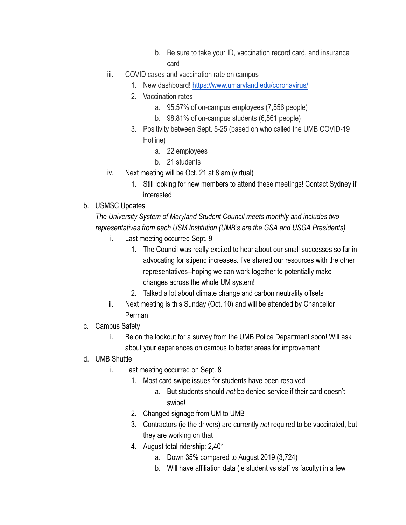- b. Be sure to take your ID, vaccination record card, and insurance card
- iii. COVID cases and vaccination rate on campus
	- 1. New dashboard! <https://www.umaryland.edu/coronavirus/>
	- 2. Vaccination rates
		- a. 95.57% of on-campus employees (7,556 people)
		- b. 98.81% of on-campus students (6,561 people)
	- 3. Positivity between Sept. 5-25 (based on who called the UMB COVID-19 Hotline)
		- a. 22 employees
		- b. 21 students
- iv. Next meeting will be Oct. 21 at 8 am (virtual)
	- 1. Still looking for new members to attend these meetings! Contact Sydney if interested
- b. USMSC Updates

*The University System of Maryland Student Council meets monthly and includes two representatives from each USM Institution (UMB's are the GSA and USGA Presidents)*

- i. Last meeting occurred Sept. 9
	- 1. The Council was really excited to hear about our small successes so far in advocating for stipend increases. I've shared our resources with the other representatives--hoping we can work together to potentially make changes across the whole UM system!
	- 2. Talked a lot about climate change and carbon neutrality offsets
- ii. Next meeting is this Sunday (Oct. 10) and will be attended by Chancellor Perman
- c. Campus Safety
	- i. Be on the lookout for a survey from the UMB Police Department soon! Will ask about your experiences on campus to better areas for improvement
- d. UMB Shuttle
	- i. Last meeting occurred on Sept. 8
		- 1. Most card swipe issues for students have been resolved
			- a. But students should *not* be denied service if their card doesn't swipe!
		- 2. Changed signage from UM to UMB
		- 3. Contractors (ie the drivers) are currently *not* required to be vaccinated, but they are working on that
		- 4. August total ridership: 2,401
			- a. Down 35% compared to August 2019 (3,724)
			- b. Will have affiliation data (ie student vs staff vs faculty) in a few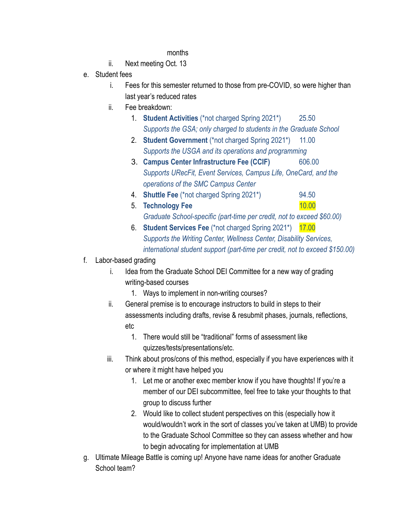## months

- ii. Next meeting Oct. 13
- e. Student fees
	- i. Fees for this semester returned to those from pre-COVID, so were higher than last year's reduced rates
	- ii. Fee breakdown:
		- 1. **Student Activities** (\*not charged Spring 2021\*) 25.50 *Supports the GSA; only charged to students in the Graduate School*
		- 2. **Student Government** (\*not charged Spring 2021\*) 11.00 *Supports the USGA and its operations and programming*
		- 3. **Campus Center Infrastructure Fee (CCIF)** 606.00 *Supports URecFit, Event Services, Campus Life, OneCard, and the operations of the SMC Campus Center*
		- 4. **Shuttle Fee** (\*not charged Spring 2021\*) 94.50
		- 5. **Technology Fee** 10.00 *Graduate School-specific (part-time per credit, not to exceed \$60.00)*
		- 6. **Student Services Fee** (\*not charged Spring 2021\*) 17.00 *Supports the Writing Center, Wellness Center, Disability Services, international student support (part-time per credit, not to exceed \$150.00)*
- f. Labor-based grading
	- i. Idea from the Graduate School DEI Committee for a new way of grading writing-based courses
		- 1. Ways to implement in non-writing courses?
	- ii. General premise is to encourage instructors to build in steps to their assessments including drafts, revise & resubmit phases, journals, reflections, etc
		- 1. There would still be "traditional" forms of assessment like quizzes/tests/presentations/etc.
	- iii. Think about pros/cons of this method, especially if you have experiences with it or where it might have helped you
		- 1. Let me or another exec member know if you have thoughts! If you're a member of our DEI subcommittee, feel free to take your thoughts to that group to discuss further
		- 2. Would like to collect student perspectives on this (especially how it would/wouldn't work in the sort of classes you've taken at UMB) to provide to the Graduate School Committee so they can assess whether and how to begin advocating for implementation at UMB
- g. Ultimate Mileage Battle is coming up! Anyone have name ideas for another Graduate School team?